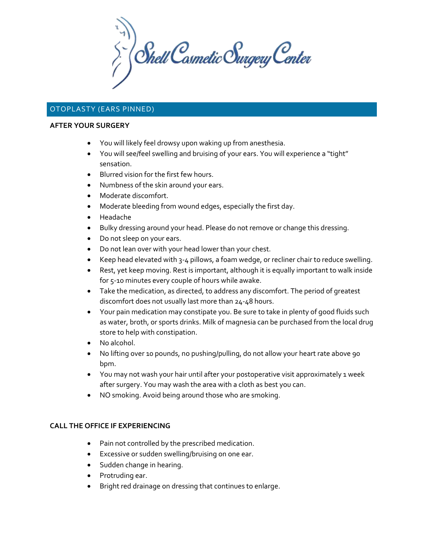$\sum_{i}^{n}$  Shell Cosmetic Surgery Center

# OTOPLASTY (EARS PINNED)

### **AFTER YOUR SURGERY**

- You will likely feel drowsy upon waking up from anesthesia.
- You will see/feel swelling and bruising of your ears. You will experience a "tight" sensation.
- Blurred vision for the first few hours.
- Numbness of the skin around your ears.
- Moderate discomfort.
- Moderate bleeding from wound edges, especially the first day.
- Headache
- Bulky dressing around your head. Please do not remove or change this dressing.
- Do not sleep on your ears.
- Do not lean over with your head lower than your chest.
- Keep head elevated with 3-4 pillows, a foam wedge, or recliner chair to reduce swelling.
- Rest, yet keep moving. Rest is important, although it is equally important to walk inside for 5-10 minutes every couple of hours while awake.
- Take the medication, as directed, to address any discomfort. The period of greatest discomfort does not usually last more than 24-48 hours.
- Your pain medication may constipate you. Be sure to take in plenty of good fluids such as water, broth, or sports drinks. Milk of magnesia can be purchased from the local drug store to help with constipation.
- No alcohol.
- No lifting over 10 pounds, no pushing/pulling, do not allow your heart rate above 90 bpm.
- You may not wash your hair until after your postoperative visit approximately 1 week after surgery. You may wash the area with a cloth as best you can.
- NO smoking. Avoid being around those who are smoking.

# **CALL THE OFFICE IF EXPERIENCING**

- Pain not controlled by the prescribed medication.
- Excessive or sudden swelling/bruising on one ear.
- Sudden change in hearing.
- Protruding ear.
- Bright red drainage on dressing that continues to enlarge.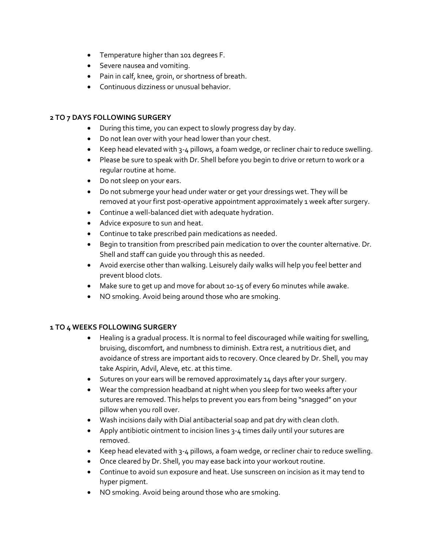- Temperature higher than 101 degrees F.
- Severe nausea and vomiting.
- Pain in calf, knee, groin, or shortness of breath.
- Continuous dizziness or unusual behavior.

# **2 TO 7 DAYS FOLLOWING SURGERY**

- During this time, you can expect to slowly progress day by day.
- Do not lean over with your head lower than your chest.
- Keep head elevated with 3-4 pillows, a foam wedge, or recliner chair to reduce swelling.
- Please be sure to speak with Dr. Shell before you begin to drive or return to work or a regular routine at home.
- Do not sleep on your ears.
- Do not submerge your head under water or get your dressings wet. They will be removed at your first post-operative appointment approximately 1 week after surgery.
- Continue a well-balanced diet with adequate hydration.
- Advice exposure to sun and heat.
- Continue to take prescribed pain medications as needed.
- Begin to transition from prescribed pain medication to over the counter alternative. Dr. Shell and staff can guide you through this as needed.
- Avoid exercise other than walking. Leisurely daily walks will help you feel better and prevent blood clots.
- Make sure to get up and move for about 10-15 of every 60 minutes while awake.
- NO smoking. Avoid being around those who are smoking.

# **1 TO 4 WEEKS FOLLOWING SURGERY**

- Healing is a gradual process. It is normal to feel discouraged while waiting for swelling, bruising, discomfort, and numbness to diminish. Extra rest, a nutritious diet, and avoidance of stress are important aids to recovery. Once cleared by Dr. Shell, you may take Aspirin, Advil, Aleve, etc. at this time.
- Sutures on your ears will be removed approximately 14 days after your surgery.
- Wear the compression headband at night when you sleep for two weeks after your sutures are removed. This helps to prevent you ears from being "snagged" on your pillow when you roll over.
- Wash incisions daily with Dial antibacterial soap and pat dry with clean cloth.
- Apply antibiotic ointment to incision lines 3-4 times daily until your sutures are removed.
- Keep head elevated with 3-4 pillows, a foam wedge, or recliner chair to reduce swelling.
- Once cleared by Dr. Shell, you may ease back into your workout routine.
- Continue to avoid sun exposure and heat. Use sunscreen on incision as it may tend to hyper pigment.
- NO smoking. Avoid being around those who are smoking.